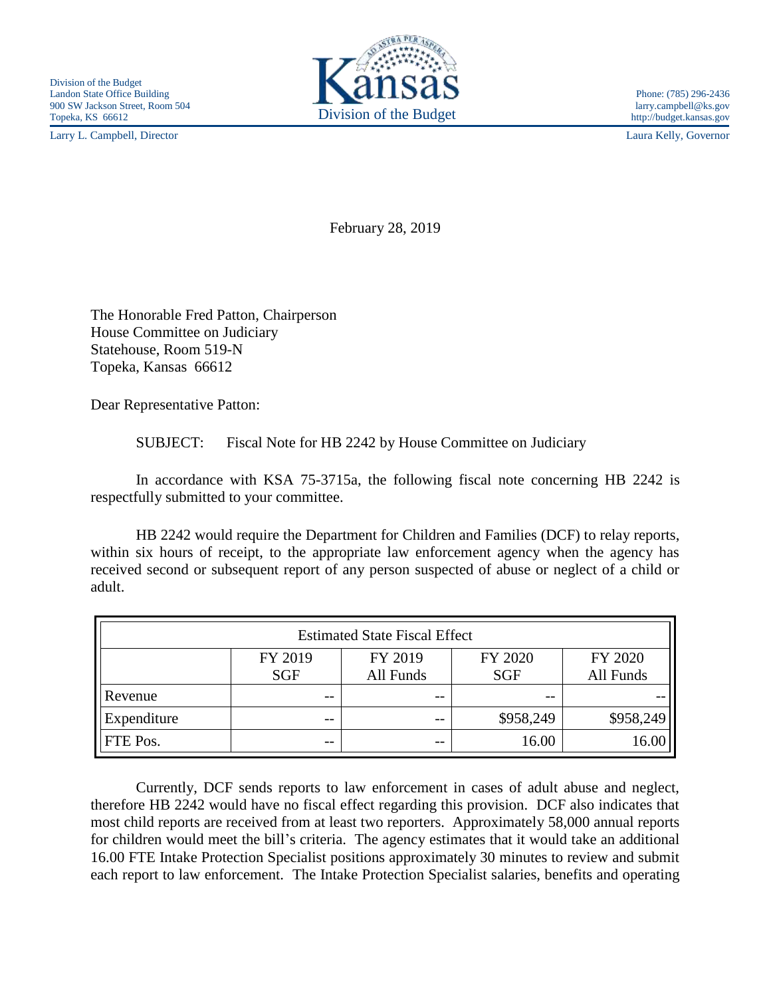Larry L. Campbell, Director Laura Kelly, Governor



February 28, 2019

The Honorable Fred Patton, Chairperson House Committee on Judiciary Statehouse, Room 519-N Topeka, Kansas 66612

Dear Representative Patton:

SUBJECT: Fiscal Note for HB 2242 by House Committee on Judiciary

In accordance with KSA 75-3715a, the following fiscal note concerning HB 2242 is respectfully submitted to your committee.

HB 2242 would require the Department for Children and Families (DCF) to relay reports, within six hours of receipt, to the appropriate law enforcement agency when the agency has received second or subsequent report of any person suspected of abuse or neglect of a child or adult.

| <b>Estimated State Fiscal Effect</b> |                       |                      |                       |                      |
|--------------------------------------|-----------------------|----------------------|-----------------------|----------------------|
|                                      | FY 2019<br><b>SGF</b> | FY 2019<br>All Funds | FY 2020<br><b>SGF</b> | FY 2020<br>All Funds |
| Revenue                              | --                    | --                   | $- -$                 |                      |
| Expenditure                          | --                    | --                   | \$958,249             | \$958,249            |
| FTE Pos.                             | --                    | $ -$                 | 16.00                 |                      |

Currently, DCF sends reports to law enforcement in cases of adult abuse and neglect, therefore HB 2242 would have no fiscal effect regarding this provision. DCF also indicates that most child reports are received from at least two reporters. Approximately 58,000 annual reports for children would meet the bill's criteria. The agency estimates that it would take an additional 16.00 FTE Intake Protection Specialist positions approximately 30 minutes to review and submit each report to law enforcement. The Intake Protection Specialist salaries, benefits and operating